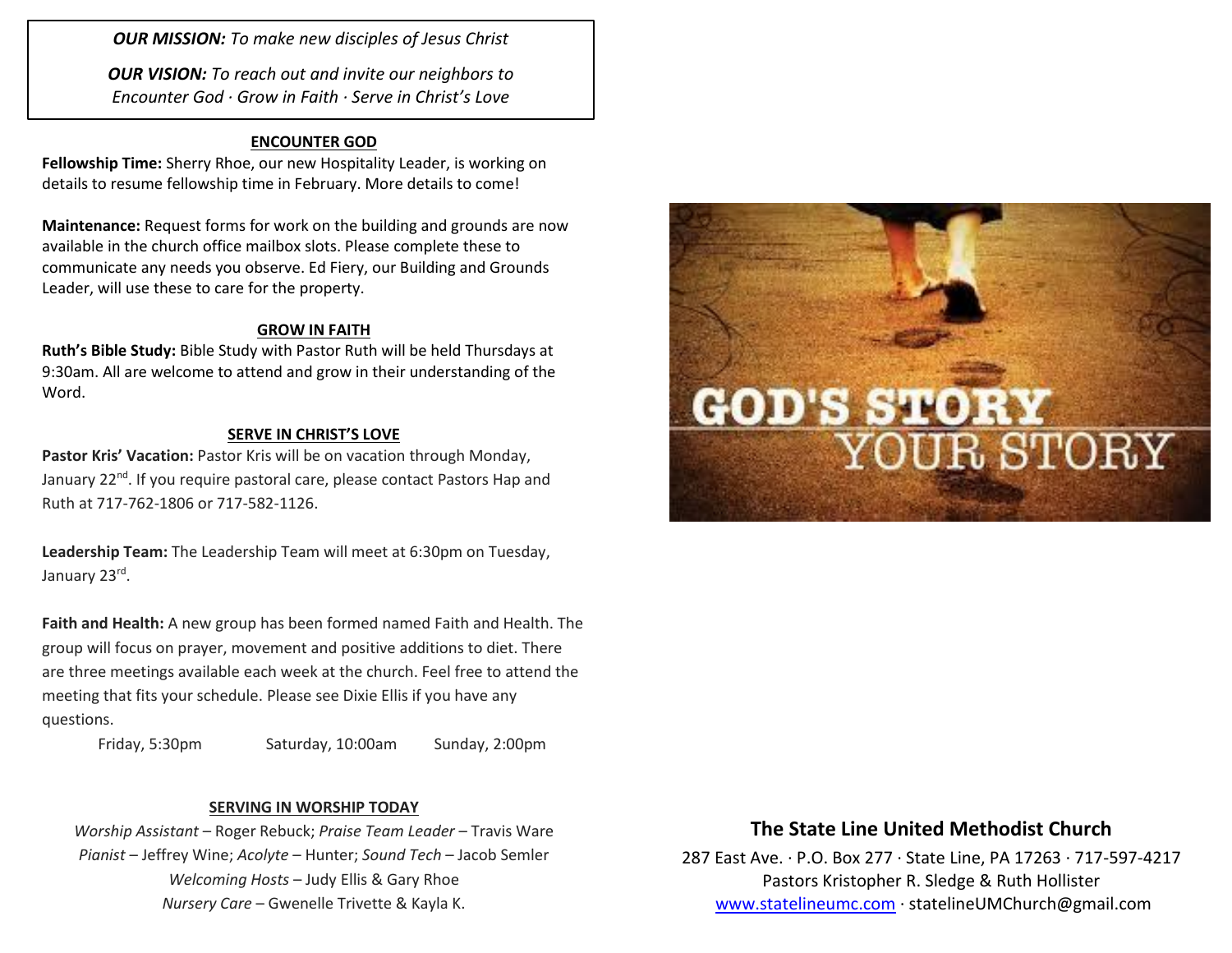*OUR MISSION: To make new disciples of Jesus Christ*

*OUR VISION: To reach out and invite our neighbors to Encounter God · Grow in Faith · Serve in Christ's Love*

## **ENCOUNTER GOD**

**Fellowship Time:** Sherry Rhoe, our new Hospitality Leader, is working on details to resume fellowship time in February. More details to come!

**Maintenance:** Request forms for work on the building and grounds are now available in the church office mailbox slots. Please complete these to communicate any needs you observe. Ed Fiery, our Building and Grounds Leader, will use these to care for the property.

#### **GROW IN FAITH**

**Ruth's Bible Study:** Bible Study with Pastor Ruth will be held Thursdays at 9:30am. All are welcome to attend and grow in their understanding of the Word.

### **SERVE IN CHRIST'S LOVE**

Pastor Kris' Vacation: Pastor Kris will be on vacation through Monday, January 22<sup>nd</sup>. If you require pastoral care, please contact Pastors Hap and Ruth at 717-762-1806 or 717-582-1126.

**Leadership Team:** The Leadership Team will meet at 6:30pm on Tuesday, January 23<sup>rd</sup>.

**Faith and Health:** A new group has been formed named Faith and Health. The group will focus on prayer, movement and positive additions to diet. There are three meetings available each week at the church. Feel free to attend the meeting that fits your schedule. Please see Dixie Ellis if you have any questions.

Friday, 5:30pm Saturday, 10:00am Sunday, 2:00pm

#### **SERVING IN WORSHIP TODAY**

*Worship Assistant* – Roger Rebuck; *Praise Team Leader* – Travis Ware *Pianist* – Jeffrey Wine; *Acolyte* – Hunter; *Sound Tech* – Jacob Semler *Welcoming Hosts* – Judy Ellis & Gary Rhoe *Nursery Care* – Gwenelle Trivette & Kayla K.



## **The State Line United Methodist Church**

287 East Ave. · P.O. Box 277 · State Line, PA 17263 · 717-597-4217 Pastors Kristopher R. Sledge & Ruth Hollister [www.statelineumc.com](http://www.statelineumc.com/) · statelineUMChurch@gmail.com